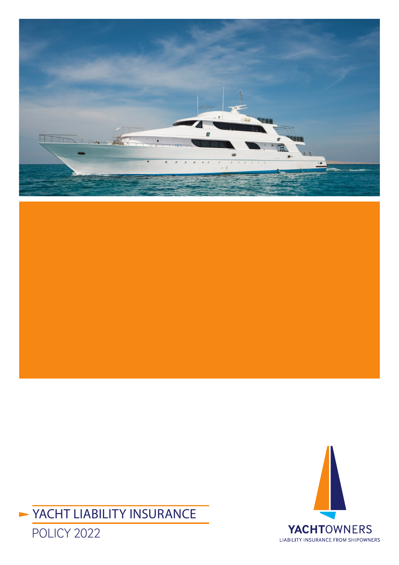





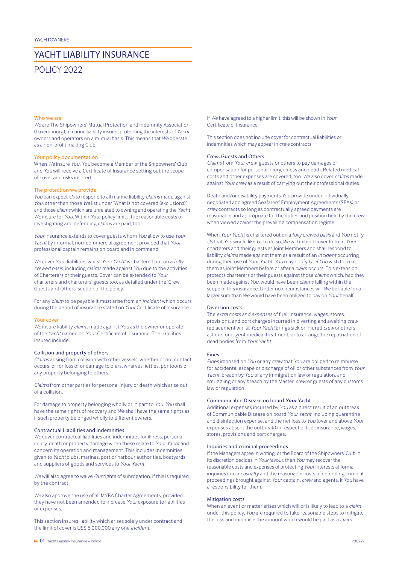# YACHT LIABILITY INSURANCE

# POLICY 2022

# Who we are

*We* are The Shipowners' Mutual Protection and Indemnity Association (Luxembourg), a marine liability insurer, protecting the interests of *Yacht* owners and operators on a mutual basis. This means that *We* operate as a non-profit making Club.

#### Your policy documentation

When *We* insure *You, You* become a Member of the Shipowners' Club and *You* will receive a Certificate of Insurance setting out the scope of cover and risks insured.

## The protection we provide

*You* can expect *Us* to respond to all marine liability *claims* made against *You*, other than those *We* list under 'What is not covered (exclusions)' and those *claims* which are unrelated to owning and operating the *Yacht We* insure for *You*. Within *Your* policy limits, the reasonable costs of investigating and defending *claims* are paid, too.

*Your* insurance extends to cover guests whom *You* allow to use *Your Yacht* by informal, non-commercial agreement provided that *Your*  professional captain remains on board and in command.

*We* cover *Your* liabilities whilst *Your Yacht* is chartered out on a *fully crewed basis*, including *claims* made against *You* due to the activities of Charterers or their guests. Cover can be extended to *Your*  charterers and charterers' guests too, as detailed under the 'Crew, Guests and Others' section of the policy.

For any *claim* to be payable it must arise from an *incident* which occurs during the period of insurance stated on *Your* Certificate of Insurance.

#### Your cover

*We* insure liability *claims* made against *You* as the owner or operator of the *Yacht* named on *Your* Certificate of Insurance. The liabilities insured include:

# Collision and property of others

*Claims* arising from collision with other vessels, whether or not contact occurs, or for loss of or damage to piers, wharves, jetties, pontoons or any property belonging to others.

*Claims* from other parties for personal injury or death which arise out of a collision.

For damage to property belonging wholly or in part to *You*, *You* shall have the same rights of recovery and *We* shall have the same rights as if such property belonged wholly to different owners.

# Contractual Liabilities and Indemnities

*We* cover contractual liabilities and indemnities for illness, personal injury, death or property damage when these relate to *Your Yacht* and concern its operation and management. This includes indemnities given to *Yacht* clubs, marinas, port or harbour authorities, boatyards and suppliers of goods and services to *Your Yacht*.

*We* will also agree to waive *Our* rights of subrogation, if this is required by the contract.

*We* also approve the use of all MYBA Charter Agreements, provided they have not been amended to increase *Your* exposure to liabilities or expenses.

This section insures liability which arises solely under contract and the limit of cover is US\$ 5,000,000 any one *incident*.

If *We* have agreed to a higher limit, this will be shown in *Your*  Certificate of Insurance.

This section does not include cover for contractual liabilities or indemnities which may appear in *crew* contracts.

#### Crew, Guests and Others

*Claims* from *Your crew*, guests or others to pay damages or compensation for personal injury, illness and death. Related medical costs and other expenses are covered, too*. We* also cover *claims* made against *Your crew* as a result of carrying out their professional duties.

Death and/or disability payments *You* provide under individually negotiated and agreed Seafarers' Employment Agreements (SEAs) or *crew* contracts so long as contractually agreed payments are reasonable and appropriate for the duties and position held by the *crew* when viewed against the prevailing compensation regime.

When *Your Yacht* is chartered out on a *fully crewed basis* and *You* notify *Us* that *You* would like *Us* to do so, *We* will extend cover to treat *Your* charterers and their guests as Joint Members and shall respond to liability *claims* made against them as a result of an *incident* occurring during their use of *Your Yacht*. *You* may notify *Us if You* wish to treat them as Joint Members before or after a *claim* occurs. This extension protects charterers or their guests against those *claims* which, had they been made against *You*, would have been *claims* falling within the scope of this insurance. Under no circumstances will *We* be liable for a larger sum than *We* would have been obliged to pay on *Your* behalf.

# Diversion costs

The *extra costs and expenses* of fuel, insurance, wages, stores, provisions, and port charges incurred in diverting and awaiting *crew* replacement whilst *Your Yacht* brings sick or injured *crew* or others ashore for urgent medical treatment, or to arrange the repatriation of dead bodies from *Your Yacht*.

## Fines

*Fines* imposed on *You* or any *crew* that *You* are obliged to reimburse for accidental escape or discharge of oil or other substances from *Your Yacht*, breach by *You* of any immigration law or regulation, and smuggling or any breach by the Master, *crew* or guests of any customs law or regulation.

## Communicable Disease on board *Your* Yacht

Additional expenses incurred by *You* as a direct result of an outbreak of Communicable Disease on board *Your Yacht*, including quarantine and disinfection expense, and the net loss to *You* (over and above *Your* expenses absent the outbreak) in respect of fuel, insurance, wages, stores, provisions and port charges.

# Inquiries and criminal proceedings

If the Managers agree in writing, or the Board of the Shipowners' Club in its discretion decides in *Your* favour, then *You* may recover the reasonable costs and expenses of protecting *Your* interests at formal inquiries into a *casualty* and the reasonable costs of defending criminal proceedings brought against *Your* captain, *crew* and agents, if *You* have a responsibility for them.

### Mitigation costs

When an event or matter arises which will or is likely to lead to a *claim* under this policy*, You* are required to take reasonable steps to mitigate the loss and minimise the amount which would be paid as a *claim*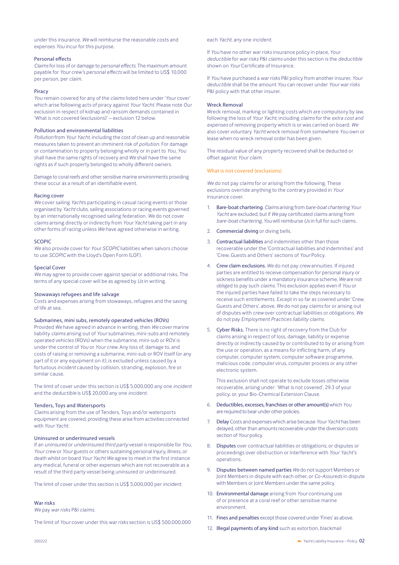under this insurance*. We* will reimburse the reasonable costs and expenses *You* incur for this purpose.

## Personal effects

*Claims* for loss of or damage to *personal effects*. The maximum amount payable for *Your crew's personal effects* will be limited to US\$ 10,000 per person, per *claim*.

# Piracy

*You* remain covered for any of the *claims* listed here under '*Your* cover' which arise following acts of piracy against *Your Yacht*. Please note *Our*  exclusion in respect of kidnap and ransom demands contained in 'What is not covered (exclusions)' – exclusion 12 below.

# Pollution and environmental liabilities

*Pollution* from *Your Yacht*, including the cost of clean up and reasonable measures taken to prevent an imminent risk of *pollution*. For damage or contamination to property belonging wholly or in part to *You*, *You* shall have the same rights of recovery and *We* shall have the same rights as if such property belonged to wholly different owners.

Damage to coral reefs and other sensitive marine environments providing these occur as a result of an identifiable event.

#### Racing cover

*We* cover sailing *Yacht*s participating in casual racing events or those organised by *Yacht* clubs, sailing associations or racing events governed by an internationally recognised sailing federation. *We* do not cover *claims* arising directly or indirectly from *Your Yacht* taking part in any other forms of racing unless *We* have agreed otherwise in writing.

### SCOPIC

*We* also provide cover for *Your SCOPIC* liabilities when salvors choose to use *SCOPIC* with the Lloyd's Open Form (LOF).

#### Special Cover

*We* may agree to provide cover against special or additional risks. The terms of any special cover will be as agreed by *Us* in writing.

## Stowaways refugees and life salvage

Costs and expenses arising from stowaways, refugees and the saving of life at sea.

# Submarines, mini subs, remotely operated vehicles (ROVs)

Provided *We* have agreed in advance in writing, then *We* cover marine liability *claims* arising out of *Your* submarines, mini-subs and remotely operated vehicles (ROVs) when the submarine, mini-sub or ROV is under the control of *You* or *Your crew.* Any loss of, damage to, and costs of raising or removing a submarine, mini-sub or ROV itself (or any part of it or any equipment on it), is excluded unless caused by a fortuitous *incident* caused by collision, stranding, explosion, fire or similar cause.

The limit of cover under this section is US\$ 5,000,000 any one *incident* and the *deductible* is US\$ 20,000 any one *incident*.

### Tenders, Toys and Watersports

*Claims* arising from the use of Tenders, Toys and/or watersports equipment are covered, providing these arise from activities connected with *Your Yacht*.

# Uninsured or underinsured vessels

If an *uninsured* or *underinsured third party* vessel is responsible for *You,*  Your crew or Your guests or others sustaining personal injury, illness, or death whilst on board *Your Yacht We* agree to meet in the first instance any medical, funeral or other expenses which are not recoverable as a result of the third party vessel being uninsured or underinsured.

The limit of cover under this section is US\$ 5,000,000 per *incident*.

# War risks

*We* pay *war risks* P&I *claims*.

The limit of *Your* cover under this *war risks* section is US\$ 500,000,000

## each *Yacht*, any one *incident*.

If *You* have no other *war risks* insurance policy in place, *Your deductible* for *war risks* P&I *claims* under this section is the *deductible* shown on *Your* Certificate of Insurance.

If *You* have purchased a *war risks* P&I policy from another insurer, *Your deductible* shall be the amount *You* can recover under *Your war risks* P&I policy with that other insurer.

# Wreck Removal

Wreck removal, marking or lighting costs which are compulsory by law, following the loss of *Your Yacht*, including *claims* for the *extra cost and expenses* of removing property which is or was carried on board*. We*  also cover voluntary *Yacht* wreck removal from somewhere *You* own or lease when no wreck removal order has been given.

The residual value of any property recovered shall be deducted or offset against *Your claim*.

### What is not covered (exclusions)

*We* do not pay *claims* for or arising from the following. These exclusions override anything to the contrary provided in *Your* insurance cover.

- 1. Bare-boat chartering. *Claims* arising from *bare-boat chartering Your Yacht* are excluded, but if *We* pay certificated claims arising from *bare-boat chartering*, *You* will reimburse *Us* in full for such claims.
- 2. Commercial diving or diving bells.
- 3. Contractual liabilities and indemnities other than those recoverable under the 'Contractual liabilities and indemnities' and 'Crew, Guests and Others' sections of *Your* Policy.
- 4. Crew claim exclusions*. We* do not pay *crew* annuities. If injured parties are entitled to receive compensation for personal injury or sickness benefits under a mandatory insurance scheme*, We* are not obliged to pay such *claims*. This exclusion applies even if *You* or the injured parties have failed to take the steps necessary to receive such entitlements*.* Except in so far as covered under 'Crew, Guests and Others', above, *We* do not pay *claims* for or arising out of disputes with *crew* over contractual liabilities or obligations*. We*  do not pay *Employment Practices liability claims*.
- 5. Cyber Risks. There is no right of recovery from the Club for claims arising in respect of loss, damage, liability or expense directly or indirectly caused by or contributed to by or arising from the use or operation, as a means for inflicting harm, of any computer, computer system, computer software programme, malicious code, computer virus, computer process or any other electronic system.

This exclusion shall not operate to exclude losses otherwise recoverable, arising under: 'What is not covered', 29.3 of your policy, or, your Bio-Chemical Extension Clause.

- 6. Deductibles, excesses, franchises or other amount(s) which *You* are required to bear under other policies.
- 7. Delay Costs and expenses which arise because *Your Yacht* has been delayed, other than amounts recoverable under the diversion costs section of *Your* policy.
- 8. Disputes over contractual liabilities or obligations; or disputes or proceedings over obstruction or interference with *Your Yacht*'s operations.
- 9. Disputes between named parties *We* do not support Members or Joint Members in dispute with each other, or *Co-Assureds* in dispute with Members or Joint Members under the same policy.
- 10. Environmental damage arising from *Your* continuing use of or presence at a coral reef or other sensitive marine environment.
- 11. Fines and penalties except those covered under 'Fines' as above.
- 12. **Illegal payments of any kind** such as extortion, blackmail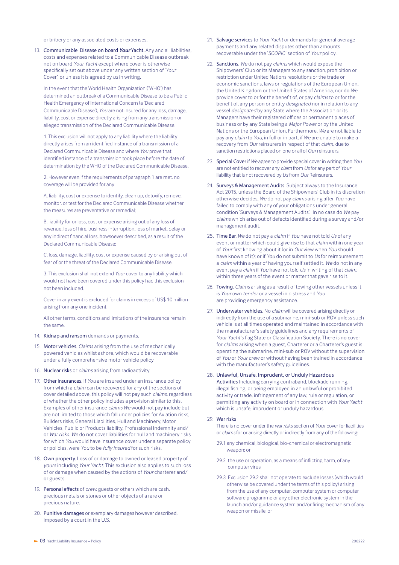or bribery or any associated costs or expenses.

13. Communicable Disease on board *Your* Yacht. Any and all liabilities, costs and expenses related to a Communicable Disease outbreak not on board *Your Yacht* except where cover is otherwise specifically set out above under any written section of '*Your* Cover', or unless it is agreed by *us* in writing.

In the event that the World Health Organization ('WHO') has determined an outbreak of a Communicable Disease to be a Public Health Emergency of International Concern (a 'Declared Communicable Disease'), *You* are not insured for any loss, damage, liability, cost or expense directly arising from any transmission or alleged transmission of the Declared Communicable Disease.

1. This exclusion will not apply to any liability where the liability directly arises from an identified instance of a transmission of a Declared Communicable Disease and where *You* prove that identified instance of a transmission took place before the date of determination by the WHO of the Declared Communicable Disease.

2. However even if the requirements of paragraph 1 are met, no coverage will be provided for any:

A. liability, cost or expense to identify, clean up, detoxify, remove, monitor, or test for the Declared Communicable Disease whether the measures are preventative or remedial;

B. liability for or loss, cost or expense arising out of any loss of revenue, loss of hire, business interruption, loss of market, delay or any indirect financial loss, howsoever described, as a result of the Declared Communicable Disease;

C. loss, damage, liability, cost or expense caused by or arising out of fear of or the threat of the Declared Communicable Disease.

3. This exclusion shall not extend *Your* cover to any liability which would not have been covered under this policy had this exclusion not been included.

Cover in any event is excluded for claims in excess of US\$ 10 million arising from any one incident.

All other terms, conditions and limitations of the insurance remain the same.

# 14. Kidnap and ransom demands or payments.

- 15. Motor vehicles. *Claims* arising from the use of mechanically powered vehicles whilst ashore, which would be recoverable under a fully comprehensive motor vehicle policy.
- 16. Nuclear risks or *claims* arising from radioactivity
- 17. Other insurances. If *You* are insured under an insurance policy from which a *claim* can be recovered for any of the sections of cover detailed above, this policy will not pay such *claims*, regardless of whether the other policy includes a provision similar to this. Examples of other insurance *claims We* would not pay include but are not limited to those which fall under policies for Aviation risks, Builders risks, General Liabilities, Hull and Machinery, Motor Vehicles, Public or Products liability, Professional Indemnity and/ or *War risks*. *We* do not cover liabilities for hull and machinery risks for which *You* would have insurance cover under a separate policy or policies, were *You* to be *fully insured* for such risks.
- 18. Own property. Loss of or damage to owned or leased property of *yours* including *Your Yacht*. This exclusion also applies to such loss of or damage when caused by the actions of *Your* charterer and/ or guests.
- 19. Personal effects of *crew*, guests or others which are cash, precious metals or stones or other objects of a rare or precious nature.
- 20. Punitive damages or exemplary damages however described, imposed by a court in the U.S.
- 21. Salvage services to *Your Yacht* or demands for general average payments and any related disputes other than amounts recoverable under the '*SCOPIC*' section of *Your* policy.
- 22. Sanctions. *We* do not pay *claims* which would expose the Shipowners' Club or its Managers to any sanction, prohibition or restriction under United Nations resolutions or the trade or economic sanctions, laws or regulations of the European Union, the United Kingdom or the United States of America, nor do *We* provide cover to or for the benefit of, or pay *claims* to or for the benefit of, any person or entity *designated* nor in relation to any vessel *designated* by any State where the Association or its Managers have their registered offices or permanent places of business or by any State being a *Major Power* or by the United Nations or the European Union. Furthermore*, We* are not liable to pay any *claim* to *You*, in full or in part, if *We* are unable to make a recovery from *Our* reinsurers in respect of that *claim*, due to sanction restrictions placed on one or all of *Our* reinsurers.
- 23. Special Cover if *We* agree to provide special cover in writing then *You* are not entitled to recover any *claim* from *Us* for any part of *Your* liability that is not recovered by *Us* from *Our* Reinsurers.
- 24. Surveys & Management Audits. Subject always to the Insurance Act 2015, unless the Board of the Shipowners' Club in its discretion otherwise decides, *We* do not pay *claims* arising after *You* have failed to comply with any of your obligations under general condition 'Surveys & Management Audits'. In no case do *We* pay *claims* which arise out of defects identified during a survey and/or management audit.
- 25. Time Bar*. We* do not pay a *claim* if *You* have not told *Us* of any event or matter which could give rise to that *claim* within one year of *Your* first knowing about it (or in *Our* view when *You* should have known of it); or if *You* do not submit to *Us* for reimbursement a *claim* within a year of having yourself settled it. *We* do not in any event pay a *claim* if *You* have not told *Us* in writing of that *claim*, within three years of the event or matter that gave rise to it.
- 26. Towing. *Claims* arising as a result of towing other vessels unless it is *Your* own *tender* or a vessel in distress and *You*  are providing emergency assistance.
- 27. Underwater vehicles. No *claim* will be covered arising directly or indirectly from the use of a submarine, mini-sub or ROV unless such vehicle is at all times operated and maintained in accordance with the manufacturer's safety guidelines and any requirements of *Your Yacht*'s flag State or Classification Society. There is no cover for *claims* arising when a guest, Charterer or a Charterer's guest is operating the submarine, mini-sub or ROV without the supervision of *You* or *Your crew* or without having been trained in accordance with the manufacturer's safety guidelines.

#### 28. Unlawful, Unsafe, Imprudent, or Unduly Hazardous

Activities Including carrying contraband, blockade running, illegal fishing, or being employed in an unlawful or prohibited activity or trade, infringement of any law, rule or regulation, or permitting any activity on board or in connection with *Your Yacht* which is unsafe, imprudent or unduly hazardous

# 29. War risks

There is no cover under the *war risks* section of *Your* cover for liabilities or *claims* for or arising directly or indirectly from any of the following:

- 29.1 any chemical, biological, bio-chemical or electromagnetic weapon; or
- 29.2 the use or operation, as a means of inflicting harm, of any computer virus
- 29.3 Exclusion 29.2 shall not operate to exclude losses (which would otherwise be covered under the terms of this policy) arising from the use of any computer, computer system or computer software programme or any other electronic system in the launch and/or guidance system and/or firing mechanism of any weapon or missile; or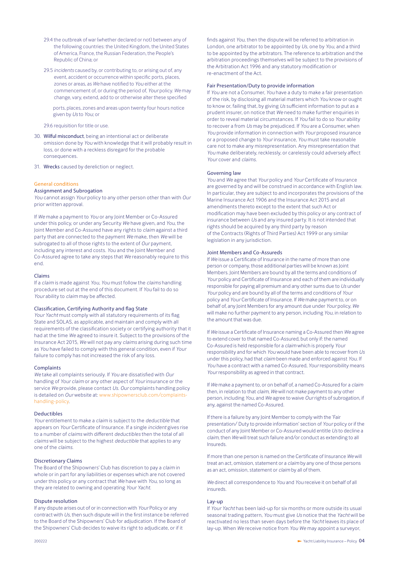- 29.4 the outbreak of war (whether declared or not) between any of the following countries: the United Kingdom, the United States of America, France, the Russian Federation, the People's Republic of China; or
- 29.5 *incidents* caused by, or contributing to, or arising out of, any event, accident or occurrence within specific ports, places, zones or areas, as *We* have notified to *You* either at the commencement of, or during the period of, *Your* policy. *We* may change, vary, extend, add to or otherwise alter these specified

ports, places, zones and areas upon twenty four hours notice given by *Us* to *You*; or

29.6 requisition for title or use.

- 30. Wilful misconduct, being an intentional act or deliberate omission done by *You* with knowledge that it will probably result in loss, or done with a reckless disregard for the probable consequences.
- 31. Wrecks caused by dereliction or neglect.

#### General conditions

#### Assignment and Subrogation

*You* cannot assign *Your* policy to any other person other than with *Our*  prior written approval.

If *We* make a payment to *You* or any Joint Member or Co-Assured under this policy, or under any Security *We* have given, and *You*, the Joint Member and Co-Assured have any rights to *claim* against a third party that are connected to the payment *We* make, then *We* will be subrogated to all of those rights to the extent of *Our* payment, including any interest and costs. *You* and the Joint Member and Co-Assured agree to take any steps that *We* reasonably require to this end.

## Claims

If a *claim* is made against *You, You* must follow the *claims* handling procedure set out at the end of this document. If *You* fail to do so *Your* ability to *claim* may be affected.

#### Classification, Certifying Authority and flag State

*Your Yacht* must comply with all statutory requirements of its flag State and SOLAS, as applicable, and maintain and comply with all requirements of the classification society or certifying authority that it had at the time *We* agreed to insure it. Subject to the provisions of the Insurance Act 2015, *We* will not pay any *claims* arising during such time as *You* have failed to comply with this general condition, even if *Your* failure to comply has not increased the risk of any loss.

#### **Complaints**

*We* take all complaints seriously. If *You* are dissatisfied with *Our*  handling of *Your claim* or any other aspect of *Your* insurance or the service *We* provide, please contact *Us. Our* complaints handling policy is detailed on *Our* website at: www.shipownersclub.com/complaintshandling-policy.

#### Deductibles

*Your* entitlement to make a *claim* is subject to the *deductible* that appears on *Your* Certificate of Insurance. If a single *incident* gives rise to a number of *claims* with different *deductibles* then the total of all *claims* will be subject to the highest *deductible* that applies to any one of the *claims*.

#### Discretionary Claims

The Board of the Shipowners' Club has discretion to pay a *claim* in whole or in part for any liabilities or expenses which are not covered under this policy or any contract that *We* have with *You*, so long as they are related to owning and operating *Your Yacht*.

## Dispute resolution

If any dispute arises out of or in connection with *Your* Policy or any contract with *Us*, then such dispute will in the first instance be referred to the Board of the Shipowners' Club for adjudication. If the Board of the Shipowners' Club decides to waive its right to adjudicate, or if it

finds against *You*, then the dispute will be referred to arbitration in London, one arbitrator to be appointed by *Us,* one by *You*, and a third to be appointed by the arbitrators. The reference to arbitration and the arbitration proceedings themselves will be subject to the provisions of the Arbitration Act 1996 and any statutory modification or re-enactment of the Act.

# Fair Presentation/Duty to provide information

If *You* are not a Consumer, *You* have a duty to make a fair presentation of the risk, by disclosing all material matters which *You* know or ought to know or, failing that, by giving *Us* sufficient information to put as a prudent insurer, on notice that *We* need to make further enquiries in order to reveal material circumstances. If *You* fail to do so *Your* ability to recover a from *Us* may be prejudiced. If *You* are a Consumer, when *You* provide information in connection with *Your* proposed insurance or a proposed change to *Your* insurance, *You* must take reasonable care not to make any misrepresentation. Any misrepresentation that *You* make deliberately, recklessly, or carelessly could adversely affect *Your* cover and *claims*.

## Governing law

*You* and *We* agree that *Your* policy and *Your* Certificate of Insurance are governed by and will be construed in accordance with English law. In particular, they are subject to and incorporates the provisions of the Marine Insurance Act 1906 and the Insurance Act 2015 and all amendments thereto except to the extent that such Act or modification may have been excluded by this policy or any contract of insurance between *Us* and any insured party. It is not intended that rights should be acquired by any third party by reason of the Contracts (Rights of Third Parties) Act 1999 or any similar legislation in any jurisdiction.

# Joint Members and Co-Assureds

If *We* issue a Certificate of Insurance in the name of more than one person or company, those additional parties will be known as Joint Members. Joint Members are bound by all the terms and conditions of *Your* policy and Certificate of Insurance and each of them are individually responsible for paying all premium and any other sums due to *Us* under *Your* policy and are bound by all of the terms and conditions of *Your* policy and *Your* Certificate of Insurance. If *We* make payment to, or on behalf of, any Joint Members for any amount due under *Your* policy, *We* will make no further payment to any person, including *You*, in relation to the amount that was due.

If *We* issue a Certificate of Insurance naming a Co-Assured then *We* agree to extend cover to that named Co-Assured, but only if: the named Co-Assured is held responsible for a *claim* which is properly *Your* responsibility and for which *You* would have been able to recover from *Us* under this policy, had that *claim* been made and enforced against *You*. If *You* have a contract with a named Co-Assured, *Your* responsibility means *Your* responsibility as agreed in that contract.

If *We* make a payment to, or on behalf of, a named Co-Assured for a *claim* then, in relation to that *claim*, *We* will not make payment to any other person, including *You*, and *We* agree to waive *Our* rights of subrogation, if any, against the named Co-Assured.

If there is a failure by any Joint Member to comply with the 'Fair presentation/ Duty to provide information' section of *Your* policy or if the conduct of any Joint Member or Co-Assured would entitle *Us* to decline a *claim*, then *We* will treat such failure and/or conduct as extending to all Insureds.

If more than one person is named on the Certificate of Insurance *We* will treat an act, omission, statement or a *claim* by any one of those persons as an act, omission, statement or *claim* by all of them.

*We* direct all correspondence to *You* and *You* receive it on behalf of all insureds.

## Lay-up

If *Your Yacht* has been laid-up for six months or more outside its usual seasonal trading pattern, *You* must give *Us* notice that the *Yacht* will be reactivated no less than seven days before the *Yacht* leaves its place of lay-up. When *We* receive notice from *You We* may appoint a surveyor,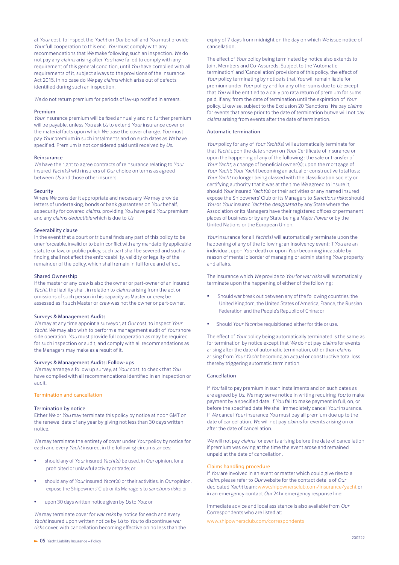at *Your* cost, to inspect the *Yacht* on *Our* behalf and *You* must provide *Your* full cooperation to this end. *You* must comply with any recommendations that *We* make following such an inspection. *We* do not pay any *claims* arising after *You* have failed to comply with any requirement of this general condition, until *You* have complied with all requirements of it, subject always to the provisions of the Insurance Act 2015. In no case do *We* pay *claims* which arise out of defects identified during such an inspection.

*We* do not return premium for periods of lay-up notified in arrears.

#### Premium

*Your* insurance premium will be fixed annually and no further premium will be payable, unless *You* ask *Us* to extend *Your* insurance cover or the material facts upon which *We* base the cover change*. You* must pay *Your* premium in such instalments and on such dates as *We* have specified. Premium is not considered paid until received by *Us*.

#### Reinsurance

*We* have the right to agree contracts of reinsurance relating to *Your* insured *Yacht*(s) with insurers of *Our* choice on terms as agreed between *Us* and those other insurers.

## Security

Where *We* consider it appropriate and necessary *We* may provide letters of undertaking, bonds or bank guarantees on *Your* behalf, as security for covered *claims*, providing *You* have paid *Your* premium and any *claims deductible* which is due to *Us*.

# Severability clause

In the event that a court or tribunal finds any part of this policy to be unenforceable, invalid or to be in conflict with any mandatorily applicable statute or law, or public policy, such part shall be severed and such a finding shall not affect the enforceability, validity or legality of the remainder of the policy, which shall remain in full force and effect.

#### Shared Ownership

If the master or any *crew* is also the owner or part-owner of an insured *Yacht*, the liability shall, in relation to *claims* arising from the act or omissions of such person in his capacity as Master or *crew*, be assessed as if such Master or *crew* was not the owner or part-owner.

### Surveys & Management Audits

*We* may at any time appoint a surveyor, at *Our* cost, to inspect *Your Yacht. We* may also wish to perform a management audit of *Your* shore side operation. *You* must provide full cooperation as may be required for such inspection or audit, and comply with all recommendations as the Managers may make as a result of it.

## Surveys & Management Audits: Follow-ups

*We* may arrange a follow up survey, at *Your* cost, to check that *You* have complied with all recommendations identified in an inspection or audit.

# Termination and cancellation

## Termination by notice

Either *We* or *You* may terminate this policy by notice at noon GMT on the renewal date of any year by giving not less than 30 days written notice.

*We* may terminate the entirety of cover under *Your* policy by notice for each and every *Yacht* insured, in the following circumstances:

- should any of *Your* insured *Yacht*(s) be used, in *Our* opinion, for a prohibited or unlawful activity or trade; or
- should any of *Your* insured *Yacht*(s) or their activities, in *Our* opinion, expose the Shipowners' Club or its Managers to *sanctions risks*; or
- upon 30 days written notice given by *Us* to *You*; or

*We* may terminate cover for *war risks* by notice for each and every *Yacht* insured upon written notice by *Us* to *You* to discontinue *war risks* cover, with cancellation becoming effective on no less than the

expiry of 7 days from midnight on the day on which *We* issue notice of cancellation.

The effect of *Your* policy being terminated by notice also extends to Joint Members and Co-Assureds. Subject to the 'Automatic termination' and 'Cancellation' provisions of this policy, the effect of *Your* policy terminating by notice is that *You* will remain liable for premium under *Your* policy and for any other sums due to *Us* except that *You* will be entitled to a daily pro rata return of premium for sums paid, if any, from the date of termination until the expiration of *Your* policy. Likewise, subject to the Exclusion 20 'Sanctions' *We* pay *claims* for events that arose prior to the date of termination butwe will not pay *claims* arising from events after the date of termination.

#### Automatic termination

*Your* policy for any of *Your Yacht*(s) will automatically terminate for that *Yacht* upon the date shown on *Your* Certificate of Insurance or upon the happening of any of the following : the sale or transfer of *Your Yacht*; a change of beneficial owner(s); upon the mortgage of *Your Yacht*; *Your Yacht* becoming an actual or constructive total loss; *Your Yacht* no longer being classed with the classification society or certifying authority that it was at the time *We* agreed to insure it; should *Your* insured *Yacht*(s) or their activities or any named insured expose the Shipowners' Club or its Managers to *Sanctions risks*; should *You* or *Your* insured *Yacht* be *designated* by any State where the Association or its Managers have their registered offices or permanent places of business or by any State being a *Major Power* or by the United Nations or the European Union.

*Your* insurance for all *Yacht*(s) will automatically terminate upon the happening of any of the following: an Insolvency event; if *You* are an individual, upon *Your* death or upon *Your* becoming incapable by reason of mental disorder of managing or administering *Your* property and affairs.

The insurance which *We* provide to *You* for *war risks* will automatically terminate upon the happening of either of the following;

- Should war break out between any of the following countries; the United Kingdom, the United States of America, France, the Russian Federation and the People's Republic of China; or
- Should *Your Yacht* be requisitioned either for title or use.

The effect of *Your* policy being automatically terminated is the same as for termination by notice except that *We* do not pay *claims* for events arising after the date of automatic termination, other than *claims* arising from *Your Yacht* becoming an actual or constructive total loss thereby triggering automatic termination.

# Cancellation

If *You* fail to pay premium in such installments and on such dates as are agreed by *Us*, *We* may serve notice in writing requiring *You* to make payment by a specified date. If *You* fail to make payment in full, on, or before the specified date *We* shall immediately cancel *Your* insurance. If *We* cancel *Your* insurance *You* must pay all premium due up to the date of cancellation. *We* will not pay *claims* for events arising on or after the date of cancellation.

*We* will not pay *claims* for events arising before the date of cancellation if premium was owing at the time the event arose and remained unpaid at the date of cancellation.

## Claims handling procedure

If *You* are involved in an event or matter which could give rise to a *claim*, please refer to *Our* website for the contact details of *Our* dedicated *Yacht* team; www.shipownersclub.com/insurance/yacht or in an emergency contact *Our* 24hr emergency response line:

Immediate advice and local assistance is also available from *Our*  Correspondents who are listed at:

www.shipownersclub.com/correspondents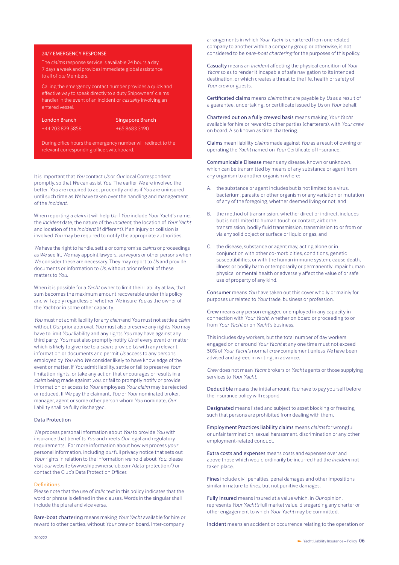# 24/7 EMERGENCY RESPONSE

The *claims* response service is available 24 hours a day, 7 days a week and provides immediate global assistance to all of *our* Members.

Calling the emergency contact number provides a quick and effective way to speak directly to a duty Shipowners' claims handler in the event of an incident or *casualty* involving an entered vessel.

London Branch +44 203 829 5858 Singapore Branch +65 8683 3190

During office hours the emergency number will redirect to the relevant corresponding office switchboard.

It is important that *You* contact *Us* or *Our* local Correspondent promptly, so that *We* can assist *You*. The earlier *We* are involved the better*. You* are required to act prudently and as if *You* are uninsured until such time as *We* have taken over the handling and management of the *incident*.

When reporting a *claim* it will help *Us* if *You* include *Your Yacht*'s name, the *incident* date, the nature of the *incident*, the location of *Your Yacht* and location of the *incident* (if different). If an injury or collision is involved *You* may be required to notify the appropriate authorities.

*We* have the right to handle, settle or compromise *claims* or proceedings as *We* see fit*. We* may appoint lawyers, surveyors or other persons when *We* consider these are necessary. They may report to *Us* and provide documents or information to *Us,* without prior referral of these matters to *You*.

When it is possible for a *Yacht* owner to limit their liability at law, that sum becomes the maximum amount recoverable under this policy and will apply regardless of whether *We* insure *You* as the owner of the *Yacht* or in some other capacity.

*You* must not admit liability for any *claim* and *You* must not settle a *claim* without *Our* prior approval*. You* must also preserve any rights *You* may have to limit *Your* liability and any rights *You* may have against any third party. *You* must also promptly notify *Us* of every event or matter which is likely to give rise to a *claim*, provide *Us* with any relevant information or documents and permit *Us* access to any persons employed by *You* who *We* consider likely to have knowledge of the event or matter. If *You* admit liability, settle or fail to preserve *Your*  limitation rights, or take any action that encourages or results in a *claim* being made against *you*, or fail to promptly notify or provide information or access to *Your* employees *Your claim* may be rejected or reduced. If *We* pay the claimant*, You* or *Your* nominated broker, manager, agent or some other person whom *You* nominate*, Our*  liability shall be fully discharged.

### Data Protection

*We* process personal information about *You* to provide *You* with insurance that benefits *You* and meets *Our* legal and regulatory requirements. For more information about how *we* process *your* personal information, including *our* full privacy notice that sets out *Your* rights in relation to the information *we* hold about *You*, please visit *our* website (www.shipownersclub.com/data-protection/) or contact the Club's Data Protection Officer.

#### Definitions

Please note that the use of *italic* text in this policy indicates that the word or phrase is defined in the clauses. Words in the singular shall include the plural and vice versa.

Bare-boat chartering means making *Your Yacht* available for hire or reward to other parties, without *Your crew* on board. Inter-company

arrangements in which *Your Yacht* is chartered from one related company to another within a company group or otherwise, is not considered to be *bare-boat chartering* for the purposes of this policy.

Casualty means an *incident* affecting the physical condition of *Your Yacht* so as to render it incapable of safe navigation to its intended destination, or which creates a threat to the life, health or safety of *Your crew* or guests.

Certificated claims means *claims* that are payable by *Us* as a result of a guarantee, undertaking, or certificate issued by *Us* on *Your* behalf.

Chartered out on a fully crewed basis means making *Your Yacht* available for hire or reward to other parties (charterers), with *Your crew* on board. Also known as time chartering.

Claims mean liability *claims* made against *You* as a result of owning or operating the *Yacht* named on *Your* Certificate of Insurance.

Communicable Disease means any disease, known or unknown, which can be transmitted by means of any substance or agent from any organism to another organism where:

- A. the substance or agent includes but is not limited to a virus, bacterium, parasite or other organism or any variation or mutation of any of the foregoing, whether deemed living or not, and
- B. the method of transmission, whether direct or indirect, includes but is not limited to human touch or contact, airborne transmission, bodily fluid transmission, transmission to or from or via any solid object or surface or liquid or gas, and
- C. the disease, substance or agent may, acting alone or in conjunction with other co-morbidities, conditions, genetic susceptibilities, or with the human immune system, cause death, illness or bodily harm or temporarily or permanently impair human physical or mental health or adversely affect the value of or safe use of property of any kind.

Consumer means *You* have taken out this cover wholly or mainly for purposes unrelated to *Your* trade, business or profession.

Crew means any person engaged or employed in any capacity in connection with *Your Yacht*, whether on board or proceeding to or from *Your Yacht* or on *Yacht*'s business.

This includes day workers, but the total number of day workers engaged on or around *Your Yacht* at any one time must not exceed 50% of *Your Yacht*'s normal *crew* complement unless *We* have been advised and agreed in writing, in advance.

*Crew* does not mean *Yacht* brokers or *Yacht* agents or those supplying services to *Your Yacht*.

Deductible means the initial amount *You* have to pay yourself before the insurance policy will respond.

Designated means listed and subject to asset blocking or freezing such that persons are prohibited from dealing with them.

Employment Practices liability claims means *claims* for wrongful or unfair termination, sexual harassment, discrimination or any other employment-related conduct.

Extra costs and expenses means costs and expenses over and above those which would ordinarily be incurred had the *incident* not taken place.

Fines include civil penalties, penal damages and other impositions similar in nature to *fines*, but not punitive damages.

Fully insured means insured at a value which, in *Our* opinion, represents *Your Yacht's* full market value, disregarding any charter or other engagement to which *Your Yacht* may be committed.

Incident means an accident or occurrence relating to the operation or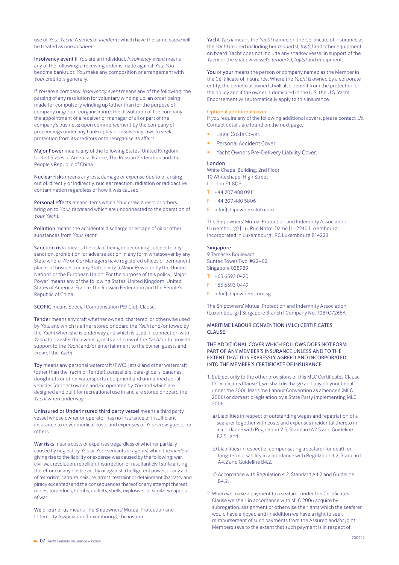use of *Your Yacht*. A series of *incidents* which have the same cause will be treated as one *incident*.

Insolvency event If *You* are an individual, *Insolvency event* means any of the following: a receiving order is made against *You*; *You* become bankrupt; *You* make any composition or arrangement with *Your* creditors generally.

If *You* are a company, *Insolvency event* means any of the following: the passing of any resolution for voluntary winding up; an order being made for compulsory winding up (other than for the purpose of company or group reorganisation); the dissolution of the company; the appointment of a receiver or manager of all or part of the company's business; upon commencement by the company of proceedings under any bankruptcy or insolvency laws to seek protection from its creditors or to reorganise its affairs.

Major Power means any of the following States: United Kingdom, United States of America, France, The Russian Federation and the People's Republic of China.

Nuclear risks means any loss, damage or expense due to or arising out of, directly or indirectly, nuclear reaction, radiation or radioactive contamination regardless of how it was caused.

Personal effects means items which *Your crew*, guests or others bring on to *Your Yacht* and which are unconnected to the operation of *Your Yacht.*

Pollution means the accidental discharge or escape of oil or other substances from *Your Yacht*.

Sanction risks means the risk of being or becoming subject to any sanction, prohibition, or adverse action in any form whatsoever by any State where *We* or *Our* Managers have registered offices or permanent places of business or any State being a *Major Power* or by the United Nations or the European Union. For the purpose of this policy, 'Major Power' means any of the following States: United Kingdom, United States of America, France, the Russian Federation and the People's Republic of China.

SCOPIC means Special Compensation P&I Club Clause.

Tender means any craft whether owned, chartered, or otherwise used by *You*, and which is either stored onboard the *Yacht* and/or towed by the *Yacht* when she is underway and which is used in connection with *Yacht* to transfer the owner, guests and *crew* of the *Yacht* or to provide support to the *Yacht* and/or entertainment to the owner, guests and *crew* of the *Yacht*.

Toy means any personal watercraft (PWC), jetski and other watercraft (other than the *Yacht* or Tender), parasailers, para-gliders, bananas, doughnuts or other watersports equipment and unmanned aerial vehicles (drones) owned and/or operated by *You* and which are designed and built for recreational use in and are stored onboard the *Yacht* when underway.

Uninsured or Underinsured third party vessel means a third party vessel whose owner or operator has no insurance or insufficient insurance to cover medical costs and expenses of *Your crew*, guests, or others.

War risks means costs or expenses (regardless of whether partially caused by neglect by *You* or *Your* servants or agents) when the *incident* giving rise to the liability or expense was caused by the following: war, civil war, revolution, rebellion, insurrection or resultant civil strife arising therefrom or any hostile act by or against a belligerent power, or any act of terrorism; capture, seizure, arrest, restraint or detainment (barratry and piracy excepted) and the consequences thereof or any attempt thereat; mines, torpedoes, bombs, rockets, shells, explosives or similar weapons of war.

We or our or us means The Shipowners' Mutual Protection and Indemnity Association (Luxembourg), the insurer.

Yacht *Yacht* means the *Yacht* named on the Certificate of Insurance as the *Yacht* insured including her *tender*(s), *toy(s)* and other equipment on board. Yacht does not include any shadow vessel in support of the *Yacht* or the shadow vessel's *tender*(s), *toy(s)* and equipment.

You or your means the person or company named as the Member in the Certificate of Insurance. Where the *Yacht* is owned by a corporate entity, the beneficial owner(s) will also benefit from the protection of the policy and if the owner is domiciled in the U.S. the U.S. Yacht Endorsement will automatically apply to this insurance.

#### Optional additional cover

If *you* require any of the following additional covers, please contact *Us*. Contact details are found on the next page.

- Legal Costs Cover.
- Personal Accident Cover.
- Yacht Owners Pre-Delivery Liability Cover.

#### London

White Chapel Building, 2nd Floor 10 Whitechapel High Street London E1 8QS

- T +44 207 488 0911
- F +44 207 480 5806
- E info@shipownersclub.com

The Shipowners' Mutual Protection and Indemnity Association (Luxembourg) | 16, Rue Notre-Dame | L–2240 Luxembourg | Incorporated in Luxembourg | RC Luxembourg B14228

## Singapore

9 Temasek Boulevard Suntec Tower Two, #22–02 Singapore 038989

- T +65 6593 0420
- $F + 6565930449$
- E info@shipowners.com.sg

The Shipowners' Mutual Protection and Indemnity Association (Luxembourg) | Singapore Branch | Company No. T08FC7268A

# MARITIME LABOUR CONVENTION (MLC) CERTIFICATES **CLAUSE**

# THE ADDITIONAL COVER WHICH FOLLOWS DOES NOT FORM PART OF ANY MEMBER'S INSURANCE UNLESS AND TO THE EXTENT THAT IT IS EXPRESSLY AGREED AND INCORPORATED INTO THE MEMBER'S CERTIFICATE OF INSURANCE.

- 1. Subject only to the other provisions of this MLC Certificates Clause ("Certificates Clause"), we shall discharge and pay on your behalf under the 2006 Maritime Labour Convention as amended (MLC 2006) or domestic legislation by a State Party implementing MLC 2006:
	- a) Liabilities in respect of outstanding wages and repatriation of a seafarer together with costs and expenses incidental thereto in accordance with Regulation 2.5, Standard A2.5 and Guideline B2.5; and
	- b) Liabilities in respect of compensating a seafarer for death or long-term disability in accordance with Regulation 4.2, Standard A4.2 and Guideline B4.2.
	- c) Accordance with Regulation 4.2, Standard A4.2 and Guideline R4.2
- 2. When we make a payment to a seafarer under the Certificates Clause we shall, in accordance with MLC 2006 acquire by subrogation, assignment or otherwise the rights which the seafarer would have enjoyed and in addition we have a right to seek reimbursement of such payments from the Assured and/or Joint Members save to the extent that such payment is in respect of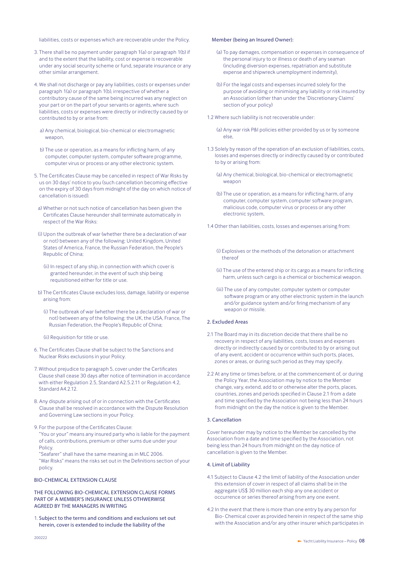liabilities, costs or expenses which are recoverable under the Policy.

- 3. There shall be no payment under paragraph 1(a) or paragraph 1(b) if and to the extent that the liability, cost or expense is recoverable under any social security scheme or fund, separate insurance or any other similar arrangement.
- 4. We shall not discharge or pay any liabilities, costs or expenses under paragraph 1(a) or paragraph 1(b), irrespective of whether a contributory cause of the same being incurred was any neglect on your part or on the part of your servants or agents, where such liabilities, costs or expenses were directly or indirectly caused by or contributed to by or arise from:
	- a) Any chemical, biological, bio-chemical or electromagnetic weapon,
	- b) The use or operation, as a means for inflicting harm, of any computer, computer system, computer software programme, computer virus or process or any other electronic system.
- 5. The Certificates Clause may be cancelled in respect of War Risks by us on 30 days' notice to you (such cancellation becoming effective on the expiry of 30 days from midnight of the day on which notice of cancellation is issued).
- a) Whether or not such notice of cancellation has been given the Certificates Clause hereunder shall terminate automatically in respect of the War Risks:
- (i) Upon the outbreak of war (whether there be a declaration of war or not) between any of the following: United Kingdom, United States of America, France, the Russian Federation, the People's Republic of China;
	- (ii) In respect of any ship, in connection with which cover is granted hereunder, in the event of such ship being requisitioned either for title or use.
- b) The Certificates Clause excludes loss, damage, liability or expense arising from:
	- (i) The outbreak of war (whether there be a declaration of war or not) between any of the following: the UK, the USA, France, The Russian Federation, the People's Republic of China;
	- (ii) Requisition for title or use.
- 6. The Certificates Clause shall be subject to the Sanctions and Nuclear Risks exclusions in your Policy.
- 7. Without prejudice to paragraph 5, cover under the Certificates Clause shall cease 30 days after notice of termination in accordance with either Regulation 2.5, Standard A2.5.2.11 or Regulation 4.2, Standard A4.2.12.
- 8. Any dispute arising out of or in connection with the Certificates Clause shall be resolved in accordance with the Dispute Resolution and Governing Law sections in your Policy.
- 9. For the purpose of the Certificates Clause: "You or your" means any insured party who is liable for the payment of calls, contributions, premium or other sums due under your Policy.

"Seafarer" shall have the same meaning as in MLC 2006. "War Risks" means the risks set out in the Definitions section of your policy.

# BIO-CHEMICAL EXTENSION CLAUSE

THE FOLLOWING BIO-CHEMICAL EXTENSION CLAUSE FORMS PART OF A MEMBER'S INSURANCE UNLESS OTHWERWISE AGREED BY THE MANAGERS IN WRITING

1. Subject to the terms and conditions and exclusions set out herein, cover is extended to include the liability of the

# Member (being an Insured Owner):

- (a) To pay damages, compensation or expenses in consequence of the personal injury to or illness or death of any seaman (including diversion expenses, repatriation and substitute expense and shipwreck unemployment indemnity),
- (b) For the legal costs and expenses incurred solely for the purpose of avoiding or minimising any liability or risk insured by an Association (other than under the 'Discretionary Claims' section of your policy)
- 1.2 Where such liability is not recoverable under:
	- (a) Any war risk P&I policies either provided by us or by someone else,
- 1.3 Solely by reason of the operation of an exclusion of liabilities, costs, losses and expenses directly or indirectly caused by or contributed to by or arising from:
	- (a) Any chemical, biological, bio-chemical or electromagnetic weapon
	- (b) The use or operation, as a means for inflicting harm, of any computer, computer system, computer software program, malicious code, computer virus or process or any other electronic system,
- 1.4 Other than liabilities, costs, losses and expenses arising from:
	- (i) Explosives or the methods of the detonation or attachment thereof
	- (ii) The use of the entered ship or its cargo as a means for inflicting harm, unless such cargo is a chemical or biochemical weapon.
	- (iii) The use of any computer, computer system or computer software program or any other electronic system in the launch and/or guidance system and/or firing mechanism of any weapon or missile.

# 2. Excluded Areas

- 2.1 The Board may in its discretion decide that there shall be no recovery in respect of any liabilities, costs, losses and expenses directly or indirectly caused by or contributed to by or arising out of any event, accident or occurrence within such ports, places, zones or areas, or during such period as they may specify.
- 2.2 At any time or times before, or at the commencement of, or during the Policy Year, the Association may by notice to the Member change, vary, extend, add to or otherwise alter the ports, places, countries, zones and periods specified in Clause 2.1 from a date and time specified by the Association not being less than 24 hours from midnight on the day the notice is given to the Member.

### 3. Cancellation

Cover hereunder may by notice to the Member be cancelled by the Association from a date and time specified by the Association, not being less than 24 hours from midnight on the day notice of cancellation is given to the Member.

#### 4. Limit of Liability

- 4.1 Subject to Clause 4.2 the limit of liability of the Association under this extension of cover in respect of all claims shall be in the aggregate US\$ 30 million each ship any one accident or occurrence or series thereof arising from any one event.
- 4.2 In the event that there is more than one entry by any person for Bio- Chemical cover as provided herein in respect of the same ship with the Association and/or any other insurer which participates in